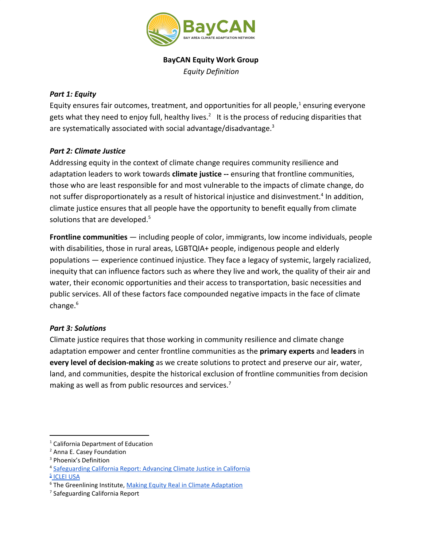

## **BayCAN Equity Work Group**

*Equity Definition*

## *Part 1: Equity*

Equity ensures fair outcomes, treatment, and opportunities for all people, $<sup>1</sup>$  ensuring everyone</sup> gets what they need to enjoy full, healthy lives.<sup>2</sup> It is the process of reducing disparities that are systematically associated with social advantage/disadvantage.<sup>3</sup>

## *Part 2: Climate Justice*

Addressing equity in the context of climate change requires community resilience and adaptation leaders to work towards **climate justice --** ensuring that frontline communities, those who are least responsible for and most vulnerable to the impacts of climate change, do not suffer disproportionately as a result of historical injustice and disinvestment.<sup>4</sup> In addition, climate justice ensures that all people have the opportunity to benefit equally from climate solutions that are developed.<sup>5</sup>

**Frontline communities** — including people of color, immigrants, low income individuals, people with disabilities, those in rural areas, LGBTQIA+ people, indigenous people and elderly populations — experience continued injustice. They face a legacy of systemic, largely racialized, inequity that can influence factors such as where they live and work, the quality of their air and water, their economic opportunities and their access to transportation, basic necessities and public services. All of these factors face compounded negative impacts in the face of climate change. $6$ 

## *Part 3: Solutions*

Climate justice requires that those working in community resilience and climate change adaptation empower and center frontline communities as the **primary experts** and **leaders** in **every level of decision-making** as we create solutions to protect and preserve our air, water, land, and communities, despite the historical exclusion of frontline communities from decision making as well as from public resources and services.<sup>7</sup>

**<u>F[ICLEI](http://icleiusa.org/programs/climate-equity/) USA</u>** 

<sup>1</sup> California Department of Education

<sup>2</sup> Anna E. Casey Foundation

<sup>3</sup> Phoenix's Definition

<sup>4</sup> [Safeguarding](https://www.healthyworldforall.org/en/express-img/17081516-3570-img1.pdf) California Report: Advancing Climate Justice in California

<sup>&</sup>lt;sup>6</sup> The Greenlining Institute, Making Equity Real in Climate [Adaptation](http://greenlining.org/publications/2019/making-equity-real-in-climate-adaption-and-community-resilience-policies-and-programs-a-guidebook/)

<sup>7</sup> Safeguarding California Report